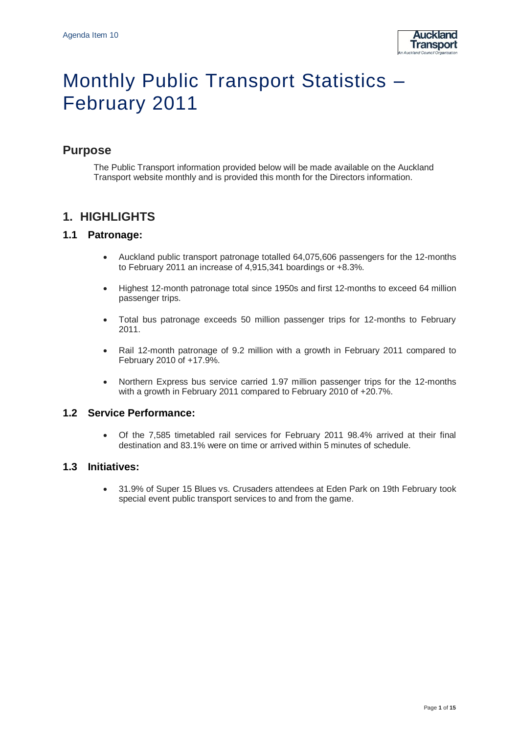

# Monthly Public Transport Statistics – February 2011

# **Purpose**

The Public Transport information provided below will be made available on the Auckland Transport website monthly and is provided this month for the Directors information.

# **1. HIGHLIGHTS**

### **1.1 Patronage:**

- Auckland public transport patronage totalled 64,075,606 passengers for the 12-months to February 2011 an increase of 4,915,341 boardings or +8.3%.
- Highest 12-month patronage total since 1950s and first 12-months to exceed 64 million passenger trips.
- Total bus patronage exceeds 50 million passenger trips for 12-months to February 2011.
- Rail 12-month patronage of 9.2 million with a growth in February 2011 compared to February 2010 of +17.9%.
- Northern Express bus service carried 1.97 million passenger trips for the 12-months with a growth in February 2011 compared to February 2010 of +20.7%.

### **1.2 Service Performance:**

 Of the 7,585 timetabled rail services for February 2011 98.4% arrived at their final destination and 83.1% were on time or arrived within 5 minutes of schedule.

### **1.3 Initiatives:**

 31.9% of Super 15 Blues vs. Crusaders attendees at Eden Park on 19th February took special event public transport services to and from the game.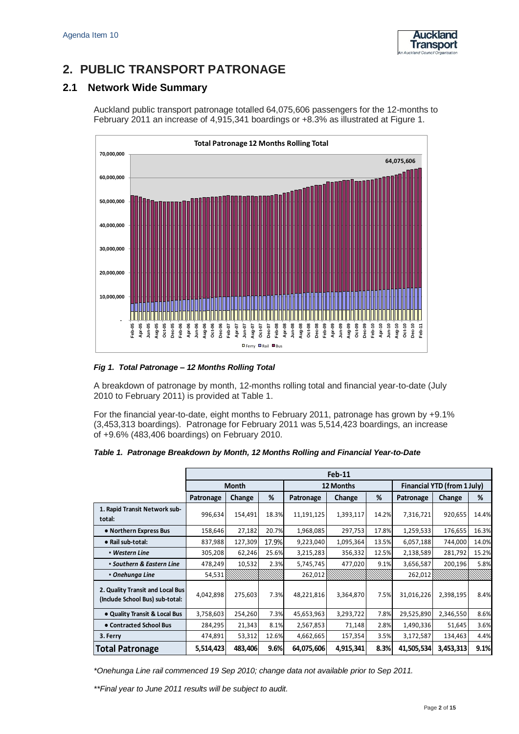

# **2. PUBLIC TRANSPORT PATRONAGE**

### **2.1 Network Wide Summary**

Auckland public transport patronage totalled 64,075,606 passengers for the 12-months to February 2011 an increase of 4,915,341 boardings or +8.3% as illustrated at Figure 1.



*Fig 1. Total Patronage – 12 Months Rolling Total*

A breakdown of patronage by month, 12-months rolling total and financial year-to-date (July 2010 to February 2011) is provided at Table 1.

For the financial year-to-date, eight months to February 2011, patronage has grown by +9.1% (3,453,313 boardings). Patronage for February 2011 was 5,514,423 boardings, an increase of +9.6% (483,406 boardings) on February 2010.

|                                                                     | Feb-11       |         |       |            |           |       |                             |           |       |
|---------------------------------------------------------------------|--------------|---------|-------|------------|-----------|-------|-----------------------------|-----------|-------|
|                                                                     | <b>Month</b> |         |       | 12 Months  |           |       | Financial YTD (from 1 July) |           |       |
|                                                                     | Patronage    | Change  | %     | Patronage  | Change    | %     | Patronage                   | Change    | %     |
| 1. Rapid Transit Network sub-<br>total:                             | 996,634      | 154,491 | 18.3% | 11,191,125 | 1,393,117 | 14.2% | 7,316,721                   | 920,655   | 14.4% |
| • Northern Express Bus                                              | 158,646      | 27,182  | 20.7% | 1,968,085  | 297,753   | 17.8% | 1,259,533                   | 176,655   | 16.3% |
| • Rail sub-total:                                                   | 837,988      | 127,309 | 17.9% | 9,223,040  | 1,095,364 | 13.5% | 6,057,188                   | 744,000   | 14.0% |
| • Western Line                                                      | 305,208      | 62,246  | 25.6% | 3,215,283  | 356,332   | 12.5% | 2,138,589                   | 281,792   | 15.2% |
| • Southern & Eastern Line                                           | 478,249      | 10,532  | 2.3%  | 5,745,745  | 477,020   | 9.1%  | 3,656,587                   | 200,196   | 5.8%  |
| • Onehunga Line                                                     | 54,531       |         |       | 262,012    |           |       | 262,012                     |           |       |
| 2. Quality Transit and Local Bus<br>(Include School Bus) sub-total: | 4,042,898    | 275,603 | 7.3%  | 48,221,816 | 3,364,870 | 7.5%  | 31,016,226                  | 2,398,195 | 8.4%  |
| • Quality Transit & Local Bus                                       | 3,758,603    | 254,260 | 7.3%  | 45,653,963 | 3,293,722 | 7.8%  | 29,525,890                  | 2,346,550 | 8.6%  |
| • Contracted School Bus                                             | 284,295      | 21,343  | 8.1%  | 2,567,853  | 71,148    | 2.8%  | 1,490,336                   | 51,645    | 3.6%  |
| 3. Ferry                                                            | 474,891      | 53,312  | 12.6% | 4,662,665  | 157,354   | 3.5%  | 3,172,587                   | 134,463   | 4.4%  |
| <b>Total Patronage</b>                                              | 5,514,423    | 483,406 | 9.6%  | 64,075,606 | 4,915,341 | 8.3%  | 41,505,534                  | 3,453,313 | 9.1%  |

*\*Onehunga Line rail commenced 19 Sep 2010; change data not available prior to Sep 2011.*

*\*\*Final year to June 2011 results will be subject to audit.*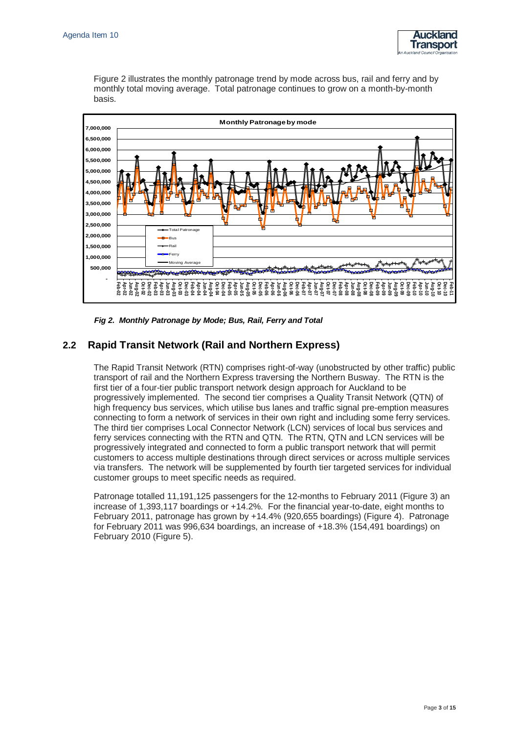

Figure 2 illustrates the monthly patronage trend by mode across bus, rail and ferry and by monthly total moving average. Total patronage continues to grow on a month-by-month basis.



*Fig 2. Monthly Patronage by Mode; Bus, Rail, Ferry and Total*

## **2.2 Rapid Transit Network (Rail and Northern Express)**

The Rapid Transit Network (RTN) comprises right-of-way (unobstructed by other traffic) public transport of rail and the Northern Express traversing the Northern Busway. The RTN is the first tier of a four-tier public transport network design approach for Auckland to be progressively implemented. The second tier comprises a Quality Transit Network (QTN) of high frequency bus services, which utilise bus lanes and traffic signal pre-emption measures connecting to form a network of services in their own right and including some ferry services. The third tier comprises Local Connector Network (LCN) services of local bus services and ferry services connecting with the RTN and QTN. The RTN, QTN and LCN services will be progressively integrated and connected to form a public transport network that will permit customers to access multiple destinations through direct services or across multiple services via transfers. The network will be supplemented by fourth tier targeted services for individual customer groups to meet specific needs as required.

Patronage totalled 11,191,125 passengers for the 12-months to February 2011 (Figure 3) an increase of 1,393,117 boardings or +14.2%. For the financial year-to-date, eight months to February 2011, patronage has grown by +14.4% (920,655 boardings) (Figure 4). Patronage for February 2011 was 996,634 boardings, an increase of +18.3% (154,491 boardings) on February 2010 (Figure 5).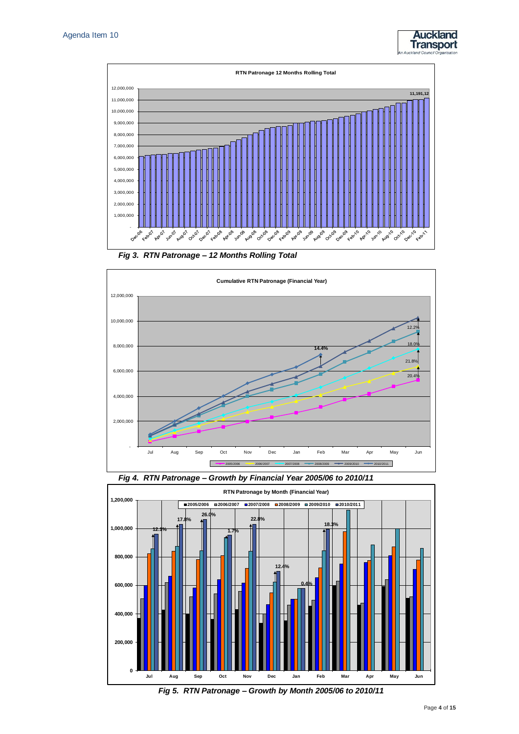



*Fig 3. RTN Patronage – 12 Months Rolling Total*







*Fig 5. RTN Patronage – Growth by Month 2005/06 to 2010/11*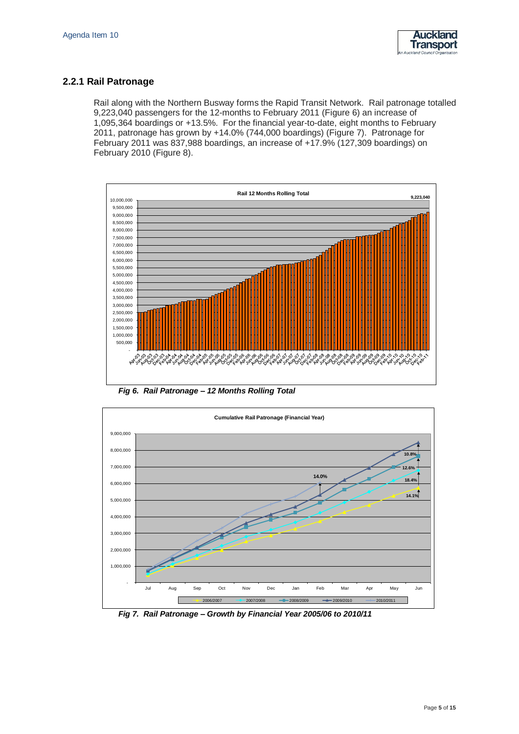

### **2.2.1 Rail Patronage**

Rail along with the Northern Busway forms the Rapid Transit Network. Rail patronage totalled 9,223,040 passengers for the 12-months to February 2011 (Figure 6) an increase of 1,095,364 boardings or +13.5%. For the financial year-to-date, eight months to February 2011, patronage has grown by +14.0% (744,000 boardings) (Figure 7). Patronage for February 2011 was 837,988 boardings, an increase of +17.9% (127,309 boardings) on February 2010 (Figure 8).



*Fig 6. Rail Patronage – 12 Months Rolling Total*



*Fig 7. Rail Patronage – Growth by Financial Year 2005/06 to 2010/11*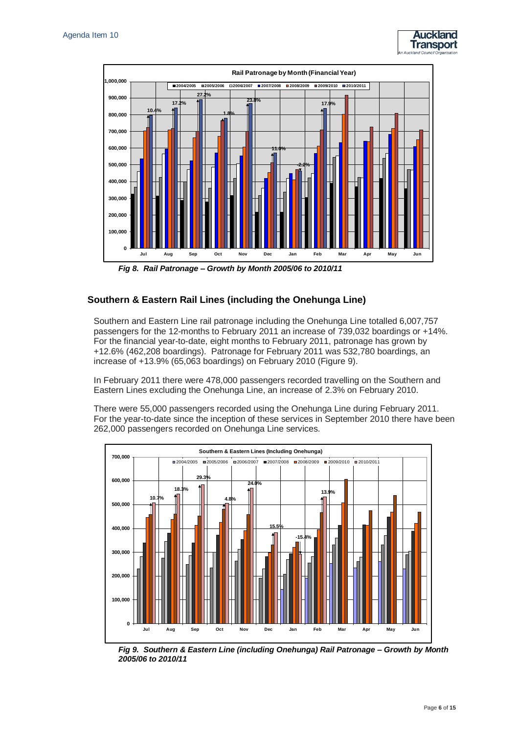



*Fig 8. Rail Patronage – Growth by Month 2005/06 to 2010/11*

### **Southern & Eastern Rail Lines (including the Onehunga Line)**

Southern and Eastern Line rail patronage including the Onehunga Line totalled 6,007,757 passengers for the 12-months to February 2011 an increase of 739,032 boardings or +14%. For the financial year-to-date, eight months to February 2011, patronage has grown by +12.6% (462,208 boardings). Patronage for February 2011 was 532,780 boardings, an increase of +13.9% (65,063 boardings) on February 2010 (Figure 9).

In February 2011 there were 478,000 passengers recorded travelling on the Southern and Eastern Lines excluding the Onehunga Line, an increase of 2.3% on February 2010.

There were 55,000 passengers recorded using the Onehunga Line during February 2011. For the year-to-date since the inception of these services in September 2010 there have been 262,000 passengers recorded on Onehunga Line services.



*Fig 9. Southern & Eastern Line (including Onehunga) Rail Patronage – Growth by Month 2005/06 to 2010/11*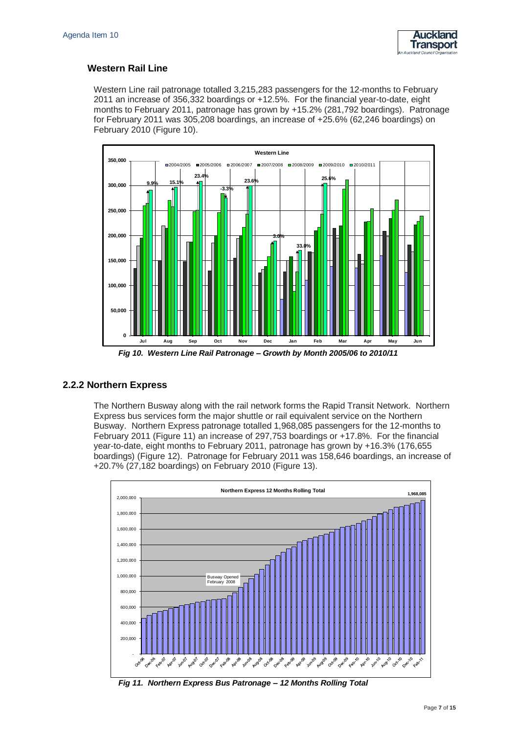

#### **Western Rail Line**

Western Line rail patronage totalled 3,215,283 passengers for the 12-months to February 2011 an increase of 356,332 boardings or +12.5%. For the financial year-to-date, eight months to February 2011, patronage has grown by +15.2% (281,792 boardings). Patronage for February 2011 was 305,208 boardings, an increase of +25.6% (62,246 boardings) on February 2010 (Figure 10).



*Fig 10. Western Line Rail Patronage – Growth by Month 2005/06 to 2010/11*

#### **2.2.2 Northern Express**

The Northern Busway along with the rail network forms the Rapid Transit Network. Northern Express bus services form the major shuttle or rail equivalent service on the Northern Busway. Northern Express patronage totalled 1,968,085 passengers for the 12-months to February 2011 (Figure 11) an increase of 297,753 boardings or +17.8%. For the financial year-to-date, eight months to February 2011, patronage has grown by +16.3% (176,655 boardings) (Figure 12). Patronage for February 2011 was 158,646 boardings, an increase of +20.7% (27,182 boardings) on February 2010 (Figure 13).

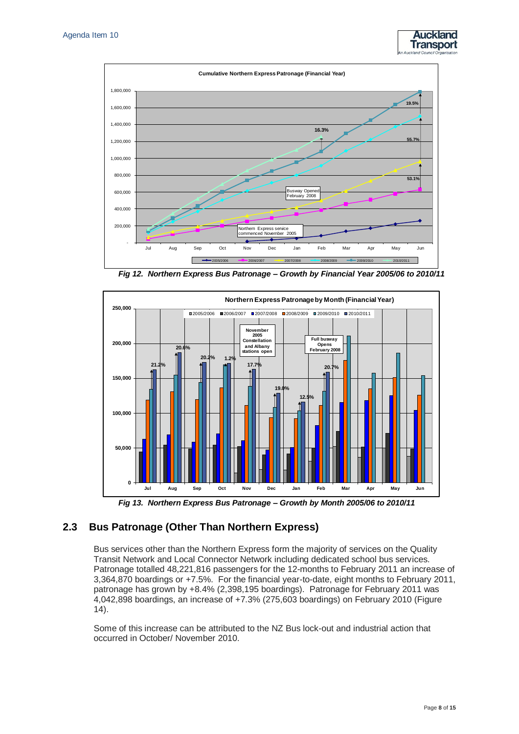



*Fig 12. Northern Express Bus Patronage – Growth by Financial Year 2005/06 to 2010/11*



*Fig 13. Northern Express Bus Patronage – Growth by Month 2005/06 to 2010/11*

### **2.3 Bus Patronage (Other Than Northern Express)**

Bus services other than the Northern Express form the majority of services on the Quality Transit Network and Local Connector Network including dedicated school bus services. Patronage totalled 48,221,816 passengers for the 12-months to February 2011 an increase of 3,364,870 boardings or +7.5%. For the financial year-to-date, eight months to February 2011, patronage has grown by +8.4% (2,398,195 boardings). Patronage for February 2011 was 4,042,898 boardings, an increase of +7.3% (275,603 boardings) on February 2010 (Figure 14).

Some of this increase can be attributed to the NZ Bus lock-out and industrial action that occurred in October/ November 2010.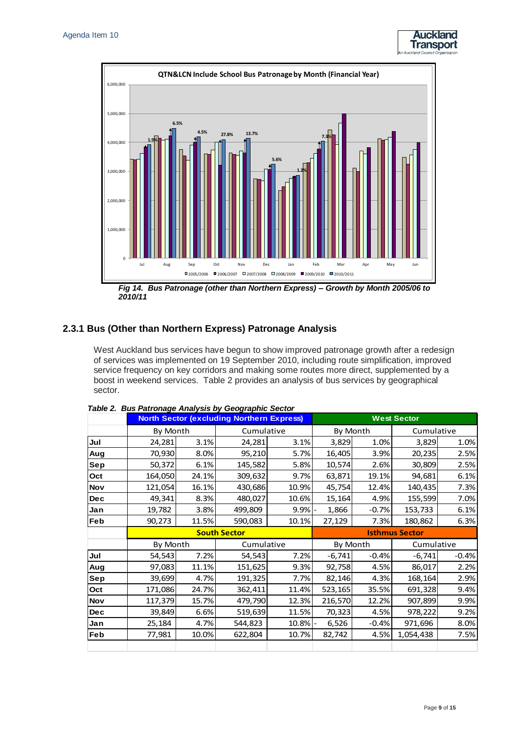



*Fig 14. Bus Patronage (other than Northern Express) – Growth by Month 2005/06 to 2010/11*

### **2.3.1 Bus (Other than Northern Express) Patronage Analysis**

West Auckland bus services have begun to show improved patronage growth after a redesign of services was implemented on 19 September 2010, including route simplification, improved service frequency on key corridors and making some routes more direct, supplemented by a boost in weekend services. Table 2 provides an analysis of bus services by geographical sector.

|            |          | <b>North Sector (excluding Northern Express)</b> | <b>West Sector</b>  |       |                       |          |            |         |  |
|------------|----------|--------------------------------------------------|---------------------|-------|-----------------------|----------|------------|---------|--|
|            | By Month |                                                  | Cumulative          |       | By Month              |          | Cumulative |         |  |
| Jul        | 24,281   | 3.1%                                             | 24,281              | 3.1%  | 3,829                 | 1.0%     | 3,829      | 1.0%    |  |
| Aug        | 70,930   | 8.0%                                             | 95,210              | 5.7%  | 16,405                | 3.9%     | 20,235     | 2.5%    |  |
| Sep        | 50,372   | 6.1%                                             | 145,582             | 5.8%  | 10,574                | 2.6%     | 30,809     | 2.5%    |  |
| Oct        | 164,050  | 24.1%                                            | 309,632             | 9.7%  | 63,871                | 19.1%    | 94,681     | 6.1%    |  |
| <b>Nov</b> | 121,054  | 16.1%                                            | 430,686             | 10.9% | 45,754                | 12.4%    | 140,435    | 7.3%    |  |
| <b>Dec</b> | 49,341   | 8.3%                                             | 480,027             | 10.6% | 15,164                | 4.9%     | 155,599    | 7.0%    |  |
| Jan        | 19,782   | 3.8%                                             | 499,809             | 9.9%  | 1,866                 | $-0.7%$  | 153,733    | 6.1%    |  |
| <b>Feb</b> | 90,273   | 11.5%                                            | 590,083             | 10.1% | 27,129                | 7.3%     | 180,862    | 6.3%    |  |
|            |          |                                                  | <b>South Sector</b> |       | <b>Isthmus Sector</b> |          |            |         |  |
|            | By Month |                                                  | Cumulative          |       |                       | By Month | Cumulative |         |  |
| Jul        | 54,543   | 7.2%                                             | 54,543              | 7.2%  | $-6,741$              | $-0.4%$  | $-6,741$   | $-0.4%$ |  |
| Aug        | 97,083   | 11.1%                                            | 151,625             | 9.3%  | 92,758                | 4.5%     | 86,017     | 2.2%    |  |
| Sep        | 39,699   | 4.7%                                             | 191,325             | 7.7%  | 82,146                | 4.3%     | 168,164    | 2.9%    |  |
| Oct        | 171,086  | 24.7%                                            | 362,411             | 11.4% | 523,165               | 35.5%    | 691,328    | 9.4%    |  |
| <b>Nov</b> | 117,379  | 15.7%                                            | 479,790             | 12.3% | 216,570               | 12.2%    | 907,899    | 9.9%    |  |
| <b>Dec</b> | 39,849   | 6.6%                                             | 519,639             | 11.5% | 70,323                | 4.5%     | 978,222    | 9.2%    |  |
| Jan        | 25,184   | 4.7%                                             | 544,823             | 10.8% | 6,526                 | $-0.4%$  | 971,696    | 8.0%    |  |
| Feb        | 77,981   | 10.0%                                            | 622,804             | 10.7% | 82,742                | 4.5%     | 1,054,438  | 7.5%    |  |
|            |          |                                                  |                     |       |                       |          |            |         |  |

#### *Table 2. Bus Patronage Analysis by Geographic Sector*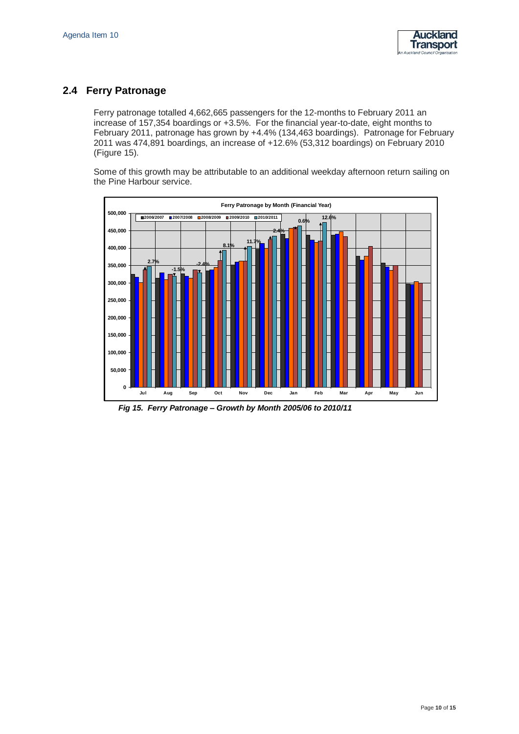

# **2.4 Ferry Patronage**

Ferry patronage totalled 4,662,665 passengers for the 12-months to February 2011 an increase of 157,354 boardings or +3.5%. For the financial year-to-date, eight months to February 2011, patronage has grown by +4.4% (134,463 boardings). Patronage for February 2011 was 474,891 boardings, an increase of +12.6% (53,312 boardings) on February 2010 (Figure 15).

Some of this growth may be attributable to an additional weekday afternoon return sailing on the Pine Harbour service.



*Fig 15. Ferry Patronage – Growth by Month 2005/06 to 2010/11*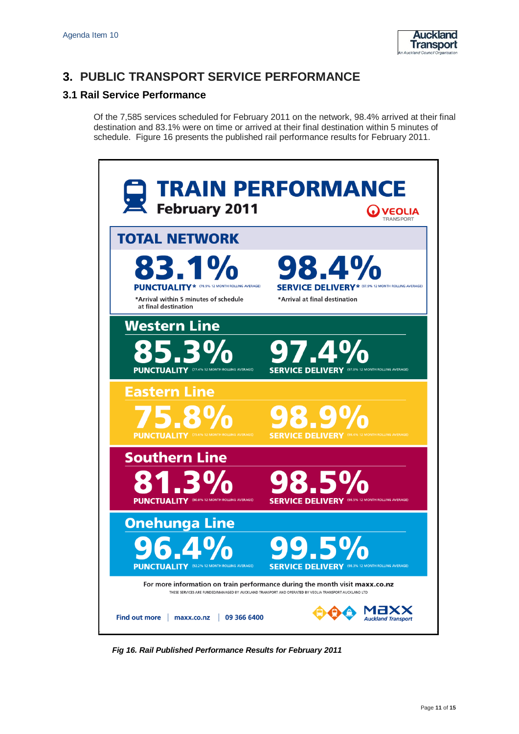

# **3. PUBLIC TRANSPORT SERVICE PERFORMANCE**

## **3.1 Rail Service Performance**

Of the 7,585 services scheduled for February 2011 on the network, 98.4% arrived at their final destination and 83.1% were on time or arrived at their final destination within 5 minutes of schedule. Figure 16 presents the published rail performance results for February 2011.



*Fig 16. Rail Published Performance Results for February 2011*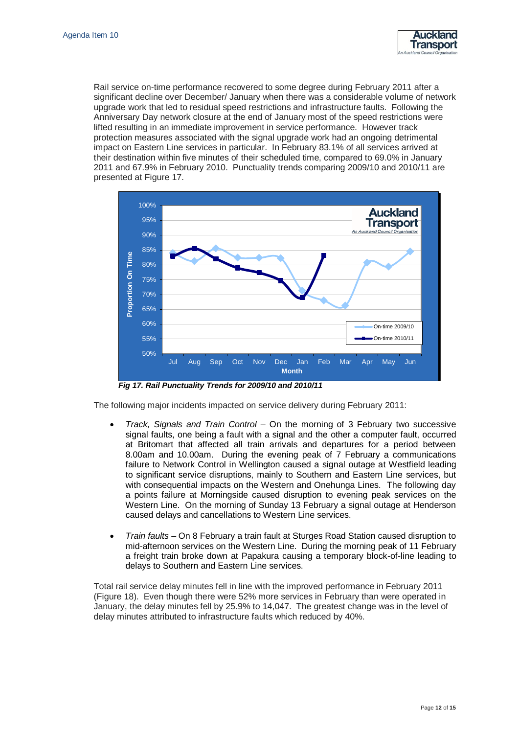

Rail service on-time performance recovered to some degree during February 2011 after a significant decline over December/ January when there was a considerable volume of network upgrade work that led to residual speed restrictions and infrastructure faults. Following the Anniversary Day network closure at the end of January most of the speed restrictions were lifted resulting in an immediate improvement in service performance. However track protection measures associated with the signal upgrade work had an ongoing detrimental impact on Eastern Line services in particular. In February 83.1% of all services arrived at their destination within five minutes of their scheduled time, compared to 69.0% in January 2011 and 67.9% in February 2010. Punctuality trends comparing 2009/10 and 2010/11 are presented at Figure 17.



*Fig 17. Rail Punctuality Trends for 2009/10 and 2010/11*

The following major incidents impacted on service delivery during February 2011:

- *Track, Signals and Train Control* On the morning of 3 February two successive signal faults, one being a fault with a signal and the other a computer fault, occurred at Britomart that affected all train arrivals and departures for a period between 8.00am and 10.00am. During the evening peak of 7 February a communications failure to Network Control in Wellington caused a signal outage at Westfield leading to significant service disruptions, mainly to Southern and Eastern Line services, but with consequential impacts on the Western and Onehunga Lines. The following day a points failure at Morningside caused disruption to evening peak services on the Western Line. On the morning of Sunday 13 February a signal outage at Henderson caused delays and cancellations to Western Line services.
- *Train faults* On 8 February a train fault at Sturges Road Station caused disruption to mid-afternoon services on the Western Line. During the morning peak of 11 February a freight train broke down at Papakura causing a temporary block-of-line leading to delays to Southern and Eastern Line services.

Total rail service delay minutes fell in line with the improved performance in February 2011 (Figure 18). Even though there were 52% more services in February than were operated in January, the delay minutes fell by 25.9% to 14,047. The greatest change was in the level of delay minutes attributed to infrastructure faults which reduced by 40%.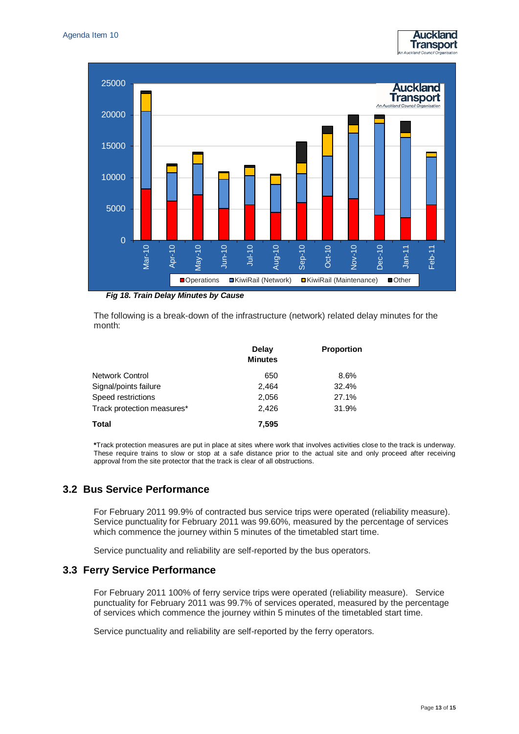



*Fig 18. Train Delay Minutes by Cause*

The following is a break-down of the infrastructure (network) related delay minutes for the month:

|                            | Delay<br><b>Minutes</b> | <b>Proportion</b> |
|----------------------------|-------------------------|-------------------|
| Network Control            | 650                     | 8.6%              |
| Signal/points failure      | 2.464                   | 32.4%             |
| Speed restrictions         | 2,056                   | 27.1%             |
| Track protection measures* | 2,426                   | 31.9%             |
| Total                      | 7.595                   |                   |

**\***Track protection measures are put in place at sites where work that involves activities close to the track is underway. These require trains to slow or stop at a safe distance prior to the actual site and only proceed after receiving approval from the site protector that the track is clear of all obstructions.

### **3.2 Bus Service Performance**

For February 2011 99.9% of contracted bus service trips were operated (reliability measure). Service punctuality for February 2011 was 99.60%, measured by the percentage of services which commence the journey within 5 minutes of the timetabled start time.

Service punctuality and reliability are self-reported by the bus operators.

### **3.3 Ferry Service Performance**

For February 2011 100% of ferry service trips were operated (reliability measure). Service punctuality for February 2011 was 99.7% of services operated, measured by the percentage of services which commence the journey within 5 minutes of the timetabled start time.

Service punctuality and reliability are self-reported by the ferry operators.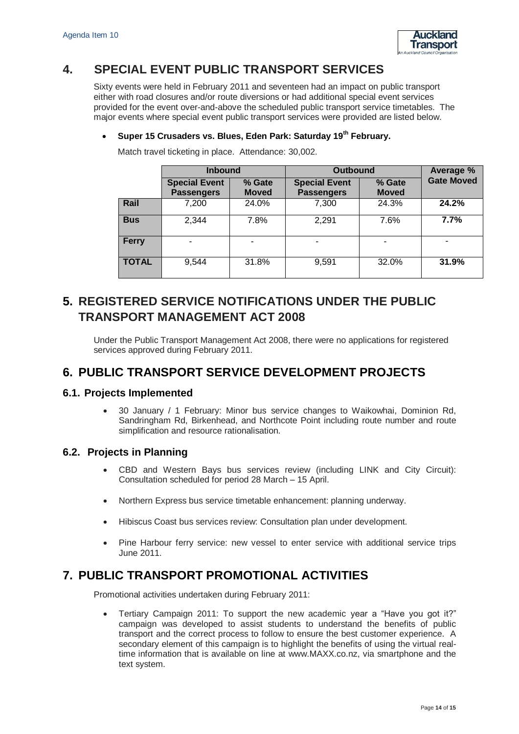

# **4. SPECIAL EVENT PUBLIC TRANSPORT SERVICES**

Sixty events were held in February 2011 and seventeen had an impact on public transport either with road closures and/or route diversions or had additional special event services provided for the event over-and-above the scheduled public transport service timetables. The major events where special event public transport services were provided are listed below.

### **Super 15 Crusaders vs. Blues, Eden Park: Saturday 19th February.**

|              | <b>Inbound</b>                            |                        | <b>Outbound</b>                           | Average %              |                   |
|--------------|-------------------------------------------|------------------------|-------------------------------------------|------------------------|-------------------|
|              | <b>Special Event</b><br><b>Passengers</b> | % Gate<br><b>Moved</b> | <b>Special Event</b><br><b>Passengers</b> | % Gate<br><b>Moved</b> | <b>Gate Moved</b> |
| Rail         | 7,200                                     | 24.0%                  | 7,300                                     | 24.3%                  | 24.2%             |
| <b>Bus</b>   | 2,344                                     | 7.8%                   | 2,291                                     | 7.6%                   | 7.7%              |
| <b>Ferry</b> |                                           |                        |                                           |                        |                   |
| <b>TOTAL</b> | 9,544                                     | 31.8%                  | 9,591                                     | 32.0%                  | 31.9%             |

Match travel ticketing in place. Attendance: 30,002.

# **5. REGISTERED SERVICE NOTIFICATIONS UNDER THE PUBLIC TRANSPORT MANAGEMENT ACT 2008**

Under the Public Transport Management Act 2008, there were no applications for registered services approved during February 2011.

# **6. PUBLIC TRANSPORT SERVICE DEVELOPMENT PROJECTS**

### **6.1. Projects Implemented**

 30 January / 1 February: Minor bus service changes to Waikowhai, Dominion Rd, Sandringham Rd, Birkenhead, and Northcote Point including route number and route simplification and resource rationalisation.

### **6.2. Projects in Planning**

- CBD and Western Bays bus services review (including LINK and City Circuit): Consultation scheduled for period 28 March – 15 April.
- Northern Express bus service timetable enhancement: planning underway.
- Hibiscus Coast bus services review: Consultation plan under development.
- Pine Harbour ferry service: new vessel to enter service with additional service trips June 2011.

# **7. PUBLIC TRANSPORT PROMOTIONAL ACTIVITIES**

Promotional activities undertaken during February 2011:

 Tertiary Campaign 2011: To support the new academic year a "Have you got it?" campaign was developed to assist students to understand the benefits of public transport and the correct process to follow to ensure the best customer experience. A secondary element of this campaign is to highlight the benefits of using the virtual realtime information that is available on line at www.MAXX.co.nz, via smartphone and the text system.